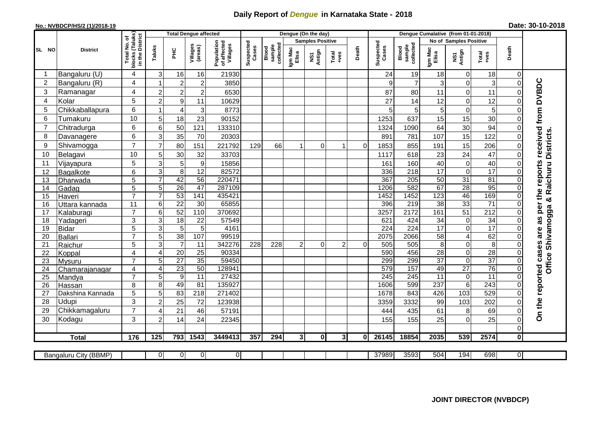## **Daily Report of** *Dengue* **in Karnataka State - 2018**

## **No.: NVBDCP/HS/2 (1)/2018-19 Date: 30-10-2018**

|                |                       |                                                                       | <b>Total Dengue affected</b> |                      |                     |                                       |                    |                              |                  | Dengue (On the day)     |                         |          |                    |                              |                               |                            |                                   |                      |                                        |
|----------------|-----------------------|-----------------------------------------------------------------------|------------------------------|----------------------|---------------------|---------------------------------------|--------------------|------------------------------|------------------|-------------------------|-------------------------|----------|--------------------|------------------------------|-------------------------------|----------------------------|-----------------------------------|----------------------|----------------------------------------|
| SL NO          |                       |                                                                       |                              |                      |                     |                                       |                    |                              |                  | <b>Samples Positive</b> |                         |          |                    |                              | <b>No of Samples Positive</b> |                            |                                   |                      |                                        |
|                | <b>District</b>       | Total No. of<br>Jocks (Taluks)<br>in the District<br>blocks<br>in the | Taluks                       | ΞÉ                   | Villages<br>(areas) | Population<br>of affected<br>Villages | Suspected<br>Cases | sample<br>collected<br>Blood | Igm Mac<br>Elisa | Antign<br>Σń            | Total<br>+ves           | Death    | Suspected<br>Cases | collected<br>sample<br>Blood | Igm Mac<br>Elisa              | NS1<br>Antign              | Total<br>+ves                     | Death                |                                        |
| -1             | Bangaluru (U)         | 4                                                                     | $\mathsf 3$                  | 16                   | 16                  | 21930                                 |                    |                              |                  |                         |                         |          | 24                 | 19                           | 18                            | $\mathbf 0$                | 18                                | $\overline{0}$       |                                        |
| $\overline{2}$ | Bangaluru (R)         | 4                                                                     |                              | $\boldsymbol{2}$     | $\overline{c}$      | 3850                                  |                    |                              |                  |                         |                         |          | 9                  | $\overline{7}$               | 3                             | $\mathbf 0$                | $\mathbf{3}$                      | $\mathbf 0$          |                                        |
| 3              | Ramanagar             | 4                                                                     | $\overline{2}$               | $\overline{c}$       | $\overline{c}$      | 6530                                  |                    |                              |                  |                         |                         |          | 87                 | 80                           | 11                            | $\mathbf 0$                | 11                                | 0                    | per the reports received from DVBDC    |
| 4              | Kolar                 | 5                                                                     | $\overline{2}$               | 9                    | 11                  | 10629                                 |                    |                              |                  |                         |                         |          | 27                 | 14                           | 12                            | $\mathbf 0$                | 12                                | $\Omega$             |                                        |
| 5              | Chikkaballapura       | 6                                                                     | $\overline{1}$               | $\overline{4}$       | 3                   | 8773                                  |                    |                              |                  |                         |                         |          | 5                  | 5                            | 5                             | $\mathsf 0$                | $\mathbf 5$                       | 0                    |                                        |
| 6              | Tumakuru              | 10                                                                    | 5                            | 18                   | 23                  | 90152                                 |                    |                              |                  |                         |                         |          | 1253               | 637                          | 15                            | 15                         | 30                                | 0                    |                                        |
| 7              | Chitradurga           | 6                                                                     | $6\phantom{1}6$              | 50                   | 121                 | 133310                                |                    |                              |                  |                         |                         |          | 1324               | 1090                         | 64                            | 30                         | 94                                | 0                    |                                        |
| 8              | Davanagere            | 6                                                                     | 3                            | 35                   | 70                  | 20303                                 |                    |                              |                  |                         |                         |          | 891                | 781                          | 107                           | 15                         | 122                               | $\mathbf{0}$         |                                        |
| 9              | Shivamogga            | $\overline{7}$                                                        | $\overline{7}$               | 80                   | 151                 | 221792                                | 129                | 66                           | 1                | $\Omega$                | $\overline{\mathbf{1}}$ | $\Omega$ | 1853               | 855                          | 191                           | 15                         | 206                               | $\Omega$             | Office Shivamogga & Raichuru Districts |
| 10             | Belagavi              | 10                                                                    | 5                            | 30                   | 32                  | 33703                                 |                    |                              |                  |                         |                         |          | 1117               | 618                          | 23                            | 24                         | 47                                | $\Omega$             |                                        |
| 11             | Vijayapura            | 5                                                                     | 3                            | 5                    | $\boldsymbol{9}$    | 15856                                 |                    |                              |                  |                         |                         |          | 161                | 160                          | 40                            | $\mathbf 0$                | 40                                | $\Omega$             |                                        |
| 12             | Bagalkote             | 6                                                                     | $\ensuremath{\mathsf{3}}$    | 8                    | $\overline{12}$     | 82572                                 |                    |                              |                  |                         |                         |          | 336                | 218                          | $\overline{17}$               | $\overline{0}$             | 17                                | $\Omega$             |                                        |
| 13             | Dharwada              | 5                                                                     | $\overline{7}$               | 42                   | 56                  | 220471                                |                    |                              |                  |                         |                         |          | 367                | 205                          | 50                            | $\overline{31}$            | 81                                | $\Omega$             |                                        |
| 14             | Gadag                 | 5                                                                     | $\overline{5}$               | 26                   | 47                  | 287109                                |                    |                              |                  |                         |                         |          | 1206               | 582                          | 67                            | 28                         | 95                                | $\Omega$             |                                        |
| 15             | Haveri                | $\overline{7}$                                                        | $\overline{7}$               | 53                   | 141                 | 435421                                |                    |                              |                  |                         |                         |          | 1452               | 1452                         | 123                           | 46                         | 169                               | $\Omega$             |                                        |
| 16             | Uttara kannada        | 11                                                                    | $6\phantom{1}6$              | $\overline{22}$      | 30                  | 65855                                 |                    |                              |                  |                         |                         |          | 396                | 219                          | $\overline{38}$               | 33                         | $\overline{71}$                   | $\Omega$             |                                        |
| 17             | Kalaburagi            | $\overline{7}$                                                        | $6\phantom{1}6$              | 52                   | 110                 | 370692                                |                    |                              |                  |                         |                         |          | 3257               | 2172                         | 161                           | 51                         | $\overline{212}$                  | 0                    |                                        |
| 18             | Yadageri              | 3                                                                     | 3                            | 18                   | $\overline{22}$     | 57549                                 |                    |                              |                  |                         |                         |          | 621                | 424                          | $\overline{34}$               | $\mathsf 0$                | 34                                |                      | 8g                                     |
| 19             | <b>Bidar</b>          | 5<br>$\overline{7}$                                                   | 3                            | $\overline{5}$       | 5                   | 4161                                  |                    |                              |                  |                         |                         |          | 224                | 224                          | 17                            | $\overline{0}$             | 17                                |                      | are                                    |
| 20             | Ballari               |                                                                       | $\overline{5}$               | 38<br>$\overline{7}$ | 107                 | 99519                                 |                    |                              |                  | $\Omega$                |                         | $\Omega$ | 2075               | 2066                         | 58                            | $\overline{4}$             | 62                                | $\Omega$<br>$\Omega$ |                                        |
| 21<br>22       | Raichur               | 5<br>4                                                                | 3<br>4                       | $\overline{20}$      | 11<br>25            | 342276<br>90334                       | 228                | 228                          | $\overline{2}$   |                         | $\overline{2}$          |          | 505<br>590         | 505<br>456                   | $\bf 8$<br>$\overline{28}$    | $\mathbf 0$<br>$\mathsf 0$ | $\overline{8}$<br>$\overline{28}$ | 0                    |                                        |
| 23             | Koppal<br>Mysuru      | $\overline{7}$                                                        | 5                            | $\overline{27}$      | 35                  | 59450                                 |                    |                              |                  |                         |                         |          | 299                | 299                          | $\overline{37}$               | $\overline{0}$             | 37                                | $\Omega$             |                                        |
| 24             | Chamarajanagar        | 4                                                                     | $\overline{\mathbf{4}}$      | 23                   | 50                  | 128941                                |                    |                              |                  |                         |                         |          | 579                | 157                          | 49                            | $\overline{27}$            | 76                                | $\Omega$             |                                        |
| 25             | Mandya                | $\overline{7}$                                                        | 5                            | $\boldsymbol{9}$     | 11                  | 27432                                 |                    |                              |                  |                         |                         |          | 245                | 245                          | $\overline{11}$               | $\mathsf 0$                | 11                                | $\Omega$             |                                        |
| 26             | Hassan                | 8                                                                     | 8                            | 49                   | 81                  | 135927                                |                    |                              |                  |                         |                         |          | 1606               | 599                          | 237                           | $\overline{6}$             | $\overline{243}$                  | $\Omega$             |                                        |
| 27             | Dakshina Kannada      | 5                                                                     | 5                            | 83                   | $\overline{218}$    | 271402                                |                    |                              |                  |                         |                         |          | 1678               | 843                          | 426                           | 103                        | 529                               | $\Omega$             |                                        |
| 28             | Udupi                 | 3                                                                     | $\overline{c}$               | 25                   | 72                  | 123938                                |                    |                              |                  |                         |                         |          | 3359               | 3332                         | 99                            | 103                        | 202                               | 0                    |                                        |
| 29             | Chikkamagaluru        | $\overline{7}$                                                        | $\overline{4}$               | 21                   | 46                  | 57191                                 |                    |                              |                  |                         |                         |          | 444                | 435                          | 61                            | 8                          | 69                                | 0                    | On the reported cases                  |
| 30             | Kodagu                | 3                                                                     | $\overline{2}$               | 14                   | 24                  | 22345                                 |                    |                              |                  |                         |                         |          | 155                | 155                          | 25                            | 0                          | 25                                | 0                    |                                        |
|                |                       |                                                                       |                              |                      |                     |                                       |                    |                              |                  |                         |                         |          |                    |                              |                               |                            |                                   | Οl                   |                                        |
|                | <b>Total</b>          | 176                                                                   | $\overline{125}$             | 793                  | 1543                | 3449413                               | 357                | 294                          | 31               | $\mathbf{0}$            | 3١                      | Οl       | 26145              | 18854                        | 2035                          | 539                        | 2574                              | $\mathbf{0}$         |                                        |
|                |                       |                                                                       |                              |                      |                     |                                       |                    |                              |                  |                         |                         |          |                    |                              |                               |                            |                                   |                      |                                        |
|                | Bangaluru City (BBMP) |                                                                       | $\Omega$                     | $\overline{0}$       | $\overline{0}$      | $\overline{0}$                        |                    |                              |                  |                         |                         |          | 37989              | 3593                         | 504                           | 194                        | 698                               | $\overline{0}$       |                                        |